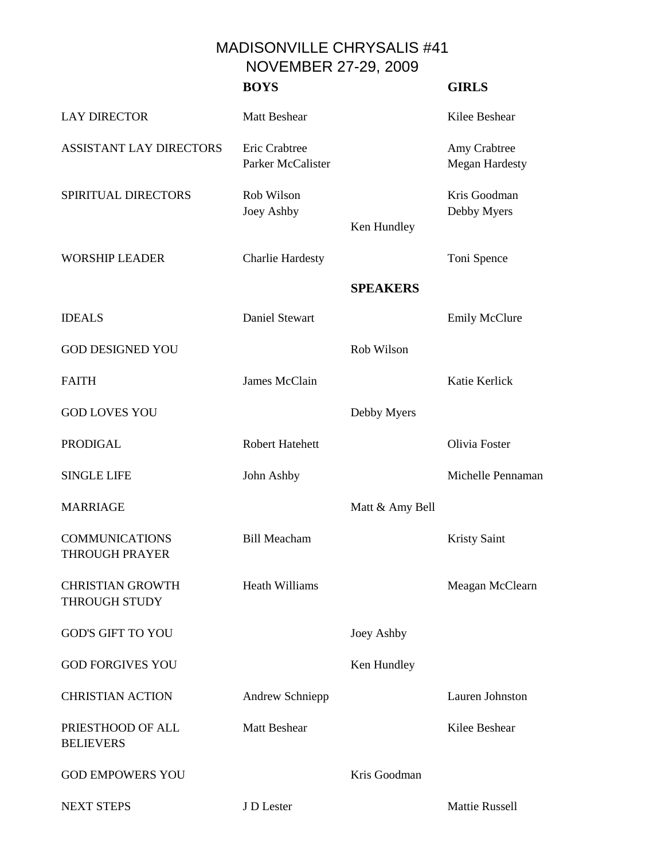MADISONVILLE CHRYSALIS #41 NOVEMBER 27-29, 2009

|                                                 | <b>BOYS</b>                        |                 | <b>GIRLS</b>                          |
|-------------------------------------------------|------------------------------------|-----------------|---------------------------------------|
| <b>LAY DIRECTOR</b>                             | <b>Matt Beshear</b>                |                 | Kilee Beshear                         |
| <b>ASSISTANT LAY DIRECTORS</b>                  | Eric Crabtree<br>Parker McCalister |                 | Amy Crabtree<br><b>Megan Hardesty</b> |
| SPIRITUAL DIRECTORS                             | Rob Wilson<br><b>Joey Ashby</b>    | Ken Hundley     | Kris Goodman<br>Debby Myers           |
| <b>WORSHIP LEADER</b>                           | <b>Charlie Hardesty</b>            |                 | Toni Spence                           |
|                                                 |                                    | <b>SPEAKERS</b> |                                       |
| <b>IDEALS</b>                                   | <b>Daniel Stewart</b>              |                 | <b>Emily McClure</b>                  |
| <b>GOD DESIGNED YOU</b>                         |                                    | Rob Wilson      |                                       |
| <b>FAITH</b>                                    | James McClain                      |                 | Katie Kerlick                         |
| <b>GOD LOVES YOU</b>                            |                                    | Debby Myers     |                                       |
| <b>PRODIGAL</b>                                 | <b>Robert Hatehett</b>             |                 | Olivia Foster                         |
| <b>SINGLE LIFE</b>                              | John Ashby                         |                 | Michelle Pennaman                     |
| <b>MARRIAGE</b>                                 |                                    | Matt & Amy Bell |                                       |
| <b>COMMUNICATIONS</b><br><b>THROUGH PRAYER</b>  | <b>Bill Meacham</b>                |                 | <b>Kristy Saint</b>                   |
| <b>CHRISTIAN GROWTH</b><br><b>THROUGH STUDY</b> | <b>Heath Williams</b>              |                 | Meagan McClearn                       |
| <b>GOD'S GIFT TO YOU</b>                        |                                    | Joey Ashby      |                                       |
| <b>GOD FORGIVES YOU</b>                         |                                    | Ken Hundley     |                                       |
| <b>CHRISTIAN ACTION</b>                         | Andrew Schniepp                    |                 | Lauren Johnston                       |
| PRIESTHOOD OF ALL<br><b>BELIEVERS</b>           | <b>Matt Beshear</b>                |                 | Kilee Beshear                         |
| <b>GOD EMPOWERS YOU</b>                         |                                    | Kris Goodman    |                                       |
| <b>NEXT STEPS</b>                               | J D Lester                         |                 | Mattie Russell                        |